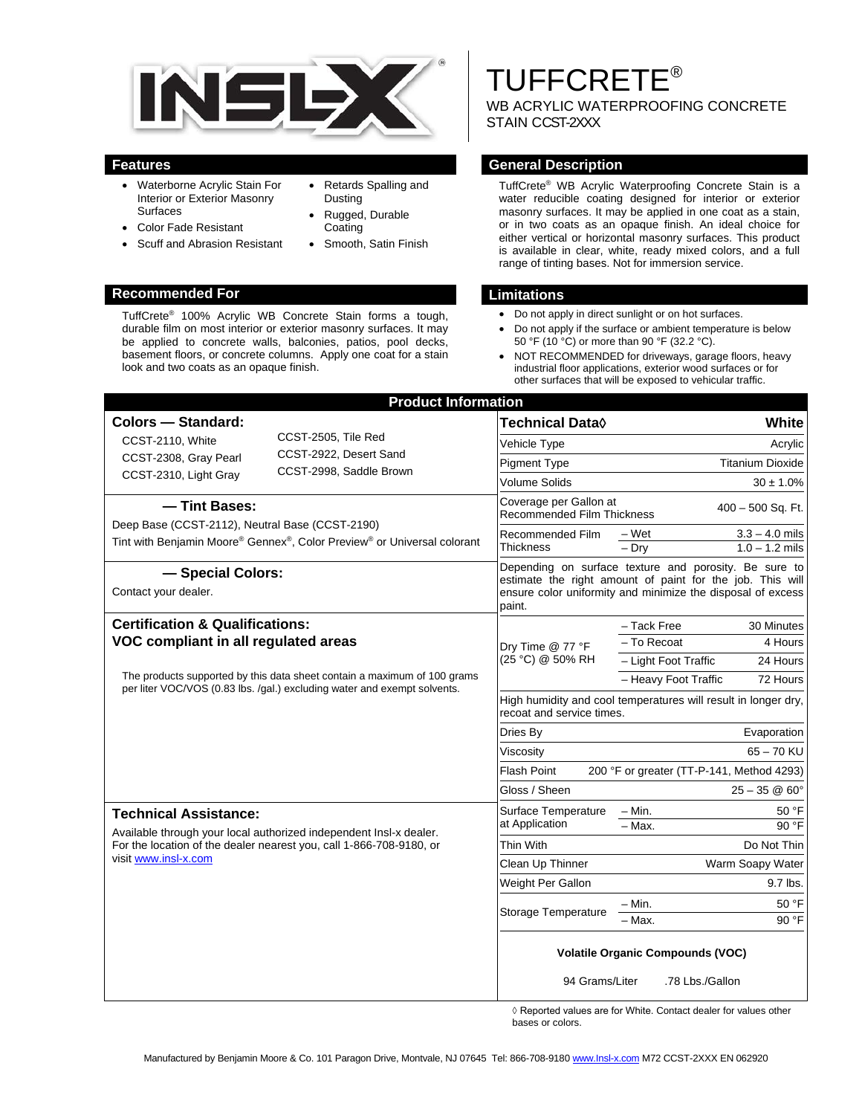

• Retards Spalling and

• Smooth, Satin Finish

Dusting • Rugged, Durable **Coating** 

- Waterborne Acrylic Stain For Interior or Exterior Masonry Surfaces
- Color Fade Resistant
- Scuff and Abrasion Resistant

### **Recommended For Limitations**

TuffCrete® 100% Acrylic WB Concrete Stain forms a tough, durable film on most interior or exterior masonry surfaces. It may be applied to concrete walls, balconies, patios, pool decks, basement floors, or concrete columns. Apply one coat for a stain look and two coats as an opaque finish.

# TUFFCRETE®

WB ACRYLIC WATERPROOFING CONCRETE STAIN CCST-2XXX

### **Features General Description**

TuffCrete® WB Acrylic Waterproofing Concrete Stain is a water reducible coating designed for interior or exterior masonry surfaces. It may be applied in one coat as a stain, or in two coats as an opaque finish. An ideal choice for either vertical or horizontal masonry surfaces. This product is available in clear, white, ready mixed colors, and a full range of tinting bases. Not for immersion service.

- Do not apply in direct sunlight or on hot surfaces.
- Do not apply if the surface or ambient temperature is below 50 °F (10 °C) or more than 90 °F (32.2 °C).
- NOT RECOMMENDED for driveways, garage floors, heavy industrial floor applications, exterior wood surfaces or for other surfaces that will be exposed to vehicular traffic.

| <b>Product Information</b>                                                                                                                                                                                                                 |                                                                                                                                                                                             |                                           |
|--------------------------------------------------------------------------------------------------------------------------------------------------------------------------------------------------------------------------------------------|---------------------------------------------------------------------------------------------------------------------------------------------------------------------------------------------|-------------------------------------------|
| Colors — Standard:                                                                                                                                                                                                                         | <b>Technical Data</b> ♦                                                                                                                                                                     | White                                     |
| CCST-2505, Tile Red<br>CCST-2110, White<br>CCST-2922, Desert Sand<br>CCST-2308, Gray Pearl<br>CCST-2998, Saddle Brown<br>CCST-2310, Light Gray                                                                                             | Vehicle Type                                                                                                                                                                                | Acrylic                                   |
|                                                                                                                                                                                                                                            | <b>Pigment Type</b>                                                                                                                                                                         | <b>Titanium Dioxide</b>                   |
|                                                                                                                                                                                                                                            | <b>Volume Solids</b>                                                                                                                                                                        | $30 \pm 1.0\%$                            |
| - Tint Bases:<br>Deep Base (CCST-2112), Neutral Base (CCST-2190)<br>Tint with Benjamin Moore® Gennex®, Color Preview® or Universal colorant                                                                                                | Coverage per Gallon at<br><b>Recommended Film Thickness</b>                                                                                                                                 | 400 - 500 Sq. Ft.                         |
|                                                                                                                                                                                                                                            | Recommended Film                                                                                                                                                                            | $3.3 - 4.0$ mils<br>– Wet                 |
|                                                                                                                                                                                                                                            | <b>Thickness</b>                                                                                                                                                                            | $1.0 - 1.2$ mils<br>$-$ Drv               |
| - Special Colors:<br>Contact your dealer.                                                                                                                                                                                                  | Depending on surface texture and porosity. Be sure to<br>estimate the right amount of paint for the job. This will<br>ensure color uniformity and minimize the disposal of excess<br>paint. |                                           |
| <b>Certification &amp; Qualifications:</b><br>VOC compliant in all regulated areas<br>The products supported by this data sheet contain a maximum of 100 grams<br>per liter VOC/VOS (0.83 lbs. /gal.) excluding water and exempt solvents. | Dry Time @ 77 °F<br>(25 °C) @ 50% RH                                                                                                                                                        | - Tack Free<br>30 Minutes                 |
|                                                                                                                                                                                                                                            |                                                                                                                                                                                             | - To Recoat<br>4 Hours                    |
|                                                                                                                                                                                                                                            |                                                                                                                                                                                             | - Light Foot Traffic<br>24 Hours          |
|                                                                                                                                                                                                                                            |                                                                                                                                                                                             | - Heavy Foot Traffic<br>72 Hours          |
|                                                                                                                                                                                                                                            | High humidity and cool temperatures will result in longer dry,<br>recoat and service times.                                                                                                 |                                           |
|                                                                                                                                                                                                                                            | Dries By                                                                                                                                                                                    | Evaporation                               |
|                                                                                                                                                                                                                                            | Viscosity                                                                                                                                                                                   | $65 - 70$ KU                              |
|                                                                                                                                                                                                                                            | <b>Flash Point</b>                                                                                                                                                                          | 200 °F or greater (TT-P-141, Method 4293) |
|                                                                                                                                                                                                                                            | Gloss / Sheen                                                                                                                                                                               | $25 - 35 \& 60^{\circ}$                   |
| <b>Technical Assistance:</b><br>Available through your local authorized independent Insl-x dealer.<br>For the location of the dealer nearest you, call 1-866-708-9180, or<br>visit www.insl-x.com                                          | Surface Temperature<br>at Application                                                                                                                                                       | – Min.<br>50 °F                           |
|                                                                                                                                                                                                                                            |                                                                                                                                                                                             | 90 °F<br>- Max.                           |
|                                                                                                                                                                                                                                            | Thin With                                                                                                                                                                                   | Do Not Thin                               |
|                                                                                                                                                                                                                                            | Clean Up Thinner                                                                                                                                                                            | Warm Soapy Water                          |
|                                                                                                                                                                                                                                            | Weight Per Gallon                                                                                                                                                                           | 9.7 lbs.                                  |
|                                                                                                                                                                                                                                            | Storage Temperature                                                                                                                                                                         | – Min.<br>50 °F                           |
|                                                                                                                                                                                                                                            |                                                                                                                                                                                             | - Max.<br>90 °F                           |
|                                                                                                                                                                                                                                            | <b>Volatile Organic Compounds (VOC)</b><br>94 Grams/Liter<br>.78 Lbs./Gallon                                                                                                                |                                           |
|                                                                                                                                                                                                                                            |                                                                                                                                                                                             |                                           |

◊ Reported values are for White. Contact dealer for values other bases or colors.